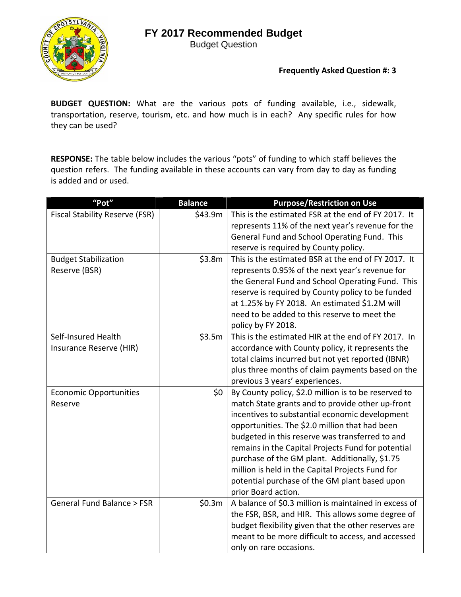

Budget Question

### **Frequently Asked Question #: 3**

**BUDGET QUESTION:** What are the various pots of funding available, i.e., sidewalk, transportation, reserve, tourism, etc. and how much is in each? Any specific rules for how they can be used?

**RESPONSE:** The table below includes the various "pots" of funding to which staff believes the question refers. The funding available in these accounts can vary from day to day as funding is added and or used.

| "Pot"                                 | <b>Balance</b> | <b>Purpose/Restriction on Use</b>                                                                 |
|---------------------------------------|----------------|---------------------------------------------------------------------------------------------------|
| <b>Fiscal Stability Reserve (FSR)</b> | \$43.9m        | This is the estimated FSR at the end of FY 2017. It                                               |
|                                       |                | represents 11% of the next year's revenue for the                                                 |
|                                       |                | General Fund and School Operating Fund. This                                                      |
|                                       |                | reserve is required by County policy.                                                             |
| <b>Budget Stabilization</b>           | \$3.8m         | This is the estimated BSR at the end of FY 2017. It                                               |
| Reserve (BSR)                         |                | represents 0.95% of the next year's revenue for                                                   |
|                                       |                | the General Fund and School Operating Fund. This                                                  |
|                                       |                | reserve is required by County policy to be funded                                                 |
|                                       |                | at 1.25% by FY 2018. An estimated \$1.2M will                                                     |
|                                       |                | need to be added to this reserve to meet the                                                      |
|                                       |                | policy by FY 2018.                                                                                |
| Self-Insured Health                   | \$3.5m         | This is the estimated HIR at the end of FY 2017. In                                               |
| Insurance Reserve (HIR)               |                | accordance with County policy, it represents the                                                  |
|                                       |                | total claims incurred but not yet reported (IBNR)                                                 |
|                                       |                | plus three months of claim payments based on the                                                  |
|                                       |                | previous 3 years' experiences.                                                                    |
| <b>Economic Opportunities</b>         | \$0            | By County policy, \$2.0 million is to be reserved to                                              |
| Reserve                               |                | match State grants and to provide other up-front                                                  |
|                                       |                | incentives to substantial economic development                                                    |
|                                       |                | opportunities. The \$2.0 million that had been                                                    |
|                                       |                | budgeted in this reserve was transferred to and                                                   |
|                                       |                | remains in the Capital Projects Fund for potential                                                |
|                                       |                | purchase of the GM plant. Additionally, \$1.75                                                    |
|                                       |                | million is held in the Capital Projects Fund for<br>potential purchase of the GM plant based upon |
|                                       |                | prior Board action.                                                                               |
| General Fund Balance > FSR            |                | A balance of \$0.3 million is maintained in excess of                                             |
|                                       | \$0.3m         | the FSR, BSR, and HIR. This allows some degree of                                                 |
|                                       |                | budget flexibility given that the other reserves are                                              |
|                                       |                | meant to be more difficult to access, and accessed                                                |
|                                       |                | only on rare occasions.                                                                           |
|                                       |                |                                                                                                   |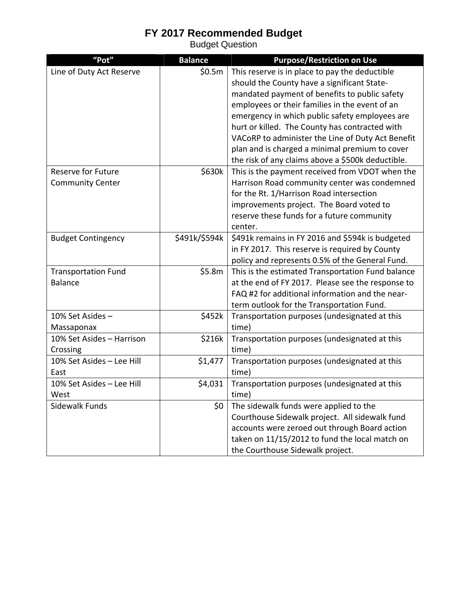| "Pot"                      | <b>Balance</b> | <b>Purpose/Restriction on Use</b>                 |
|----------------------------|----------------|---------------------------------------------------|
| Line of Duty Act Reserve   | \$0.5m         | This reserve is in place to pay the deductible    |
|                            |                | should the County have a significant State-       |
|                            |                | mandated payment of benefits to public safety     |
|                            |                | employees or their families in the event of an    |
|                            |                | emergency in which public safety employees are    |
|                            |                | hurt or killed. The County has contracted with    |
|                            |                | VACoRP to administer the Line of Duty Act Benefit |
|                            |                | plan and is charged a minimal premium to cover    |
|                            |                | the risk of any claims above a \$500k deductible. |
| <b>Reserve for Future</b>  | \$630k         | This is the payment received from VDOT when the   |
| <b>Community Center</b>    |                | Harrison Road community center was condemned      |
|                            |                | for the Rt. 1/Harrison Road intersection          |
|                            |                | improvements project. The Board voted to          |
|                            |                | reserve these funds for a future community        |
|                            |                | center.                                           |
| <b>Budget Contingency</b>  | \$491k/\$594k  | \$491k remains in FY 2016 and \$594k is budgeted  |
|                            |                | in FY 2017. This reserve is required by County    |
|                            |                | policy and represents 0.5% of the General Fund.   |
| <b>Transportation Fund</b> | \$5.8m         | This is the estimated Transportation Fund balance |
| <b>Balance</b>             |                | at the end of FY 2017. Please see the response to |
|                            |                | FAQ #2 for additional information and the near-   |
|                            |                | term outlook for the Transportation Fund.         |
| 10% Set Asides -           | \$452k         | Transportation purposes (undesignated at this     |
| Massaponax                 |                | time)                                             |
| 10% Set Asides - Harrison  | \$216k         | Transportation purposes (undesignated at this     |
| Crossing                   |                | time)                                             |
| 10% Set Asides - Lee Hill  | \$1,477        | Transportation purposes (undesignated at this     |
| East                       |                | time)                                             |
| 10% Set Asides - Lee Hill  | \$4,031        | Transportation purposes (undesignated at this     |
| West                       |                | time)                                             |
| Sidewalk Funds             | \$0            | The sidewalk funds were applied to the            |
|                            |                | Courthouse Sidewalk project. All sidewalk fund    |
|                            |                | accounts were zeroed out through Board action     |
|                            |                | taken on 11/15/2012 to fund the local match on    |
|                            |                | the Courthouse Sidewalk project.                  |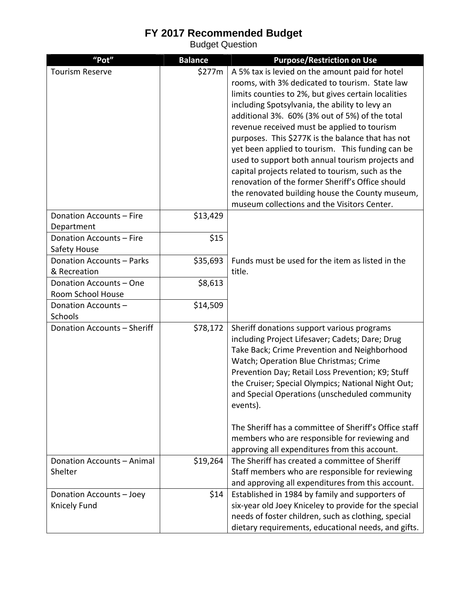| "Pot"                       | <b>Balance</b> | <b>Purpose/Restriction on Use</b>                         |
|-----------------------------|----------------|-----------------------------------------------------------|
| <b>Tourism Reserve</b>      | \$277m         | A 5% tax is levied on the amount paid for hotel           |
|                             |                | rooms, with 3% dedicated to tourism. State law            |
|                             |                | limits counties to 2%, but gives certain localities       |
|                             |                | including Spotsylvania, the ability to levy an            |
|                             |                | additional 3%. 60% (3% out of 5%) of the total            |
|                             |                | revenue received must be applied to tourism               |
|                             |                | purposes. This \$277K is the balance that has not         |
|                             |                | yet been applied to tourism. This funding can be          |
|                             |                | used to support both annual tourism projects and          |
|                             |                | capital projects related to tourism, such as the          |
|                             |                | renovation of the former Sheriff's Office should          |
|                             |                | the renovated building house the County museum,           |
|                             |                | museum collections and the Visitors Center.               |
| Donation Accounts - Fire    | \$13,429       |                                                           |
| Department                  |                |                                                           |
| Donation Accounts - Fire    | \$15           |                                                           |
| Safety House                |                |                                                           |
| Donation Accounts - Parks   | \$35,693       | Funds must be used for the item as listed in the          |
| & Recreation                |                | title.                                                    |
| Donation Accounts - One     | \$8,613        |                                                           |
| Room School House           |                |                                                           |
| Donation Accounts-          | \$14,509       |                                                           |
| Schools                     |                |                                                           |
| Donation Accounts - Sheriff | \$78,172       | Sheriff donations support various programs                |
|                             |                | including Project Lifesaver; Cadets; Dare; Drug           |
|                             |                | Take Back; Crime Prevention and Neighborhood              |
|                             |                | Watch; Operation Blue Christmas; Crime                    |
|                             |                | Prevention Day; Retail Loss Prevention; K9; Stuff         |
|                             |                | the Cruiser; Special Olympics; National Night Out;        |
|                             |                | and Special Operations (unscheduled community<br>events). |
|                             |                |                                                           |
|                             |                | The Sheriff has a committee of Sheriff's Office staff     |
|                             |                | members who are responsible for reviewing and             |
|                             |                | approving all expenditures from this account.             |
| Donation Accounts - Animal  | \$19,264       | The Sheriff has created a committee of Sheriff            |
| Shelter                     |                | Staff members who are responsible for reviewing           |
|                             |                | and approving all expenditures from this account.         |
| Donation Accounts - Joey    | \$14           | Established in 1984 by family and supporters of           |
| Knicely Fund                |                | six-year old Joey Kniceley to provide for the special     |
|                             |                | needs of foster children, such as clothing, special       |
|                             |                | dietary requirements, educational needs, and gifts.       |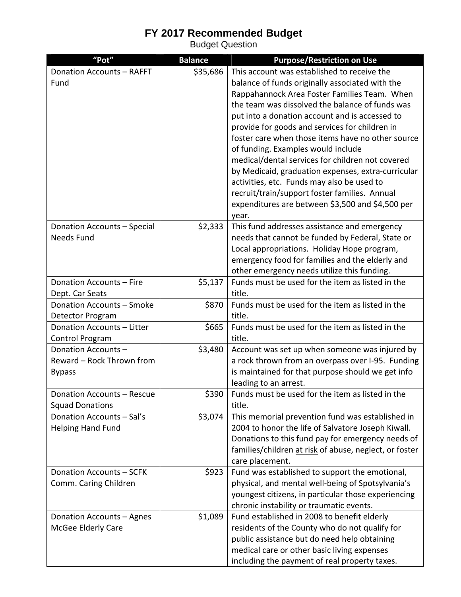| "Pot"                            | <b>Balance</b> | <b>Purpose/Restriction on Use</b>                      |
|----------------------------------|----------------|--------------------------------------------------------|
| <b>Donation Accounts - RAFFT</b> | \$35,686       | This account was established to receive the            |
| Fund                             |                | balance of funds originally associated with the        |
|                                  |                | Rappahannock Area Foster Families Team. When           |
|                                  |                | the team was dissolved the balance of funds was        |
|                                  |                | put into a donation account and is accessed to         |
|                                  |                | provide for goods and services for children in         |
|                                  |                | foster care when those items have no other source      |
|                                  |                | of funding. Examples would include                     |
|                                  |                | medical/dental services for children not covered       |
|                                  |                | by Medicaid, graduation expenses, extra-curricular     |
|                                  |                | activities, etc. Funds may also be used to             |
|                                  |                | recruit/train/support foster families. Annual          |
|                                  |                | expenditures are between \$3,500 and \$4,500 per       |
|                                  |                | year.                                                  |
| Donation Accounts - Special      | \$2,333        | This fund addresses assistance and emergency           |
| Needs Fund                       |                | needs that cannot be funded by Federal, State or       |
|                                  |                | Local appropriations. Holiday Hope program,            |
|                                  |                | emergency food for families and the elderly and        |
|                                  |                | other emergency needs utilize this funding.            |
| Donation Accounts - Fire         | \$5,137        | Funds must be used for the item as listed in the       |
| Dept. Car Seats                  |                | title.                                                 |
| Donation Accounts - Smoke        | \$870          | Funds must be used for the item as listed in the       |
| Detector Program                 |                | title.                                                 |
| Donation Accounts - Litter       | \$665          | Funds must be used for the item as listed in the       |
| Control Program                  |                | title.                                                 |
| Donation Accounts-               | \$3,480        | Account was set up when someone was injured by         |
| Reward - Rock Thrown from        |                | a rock thrown from an overpass over I-95. Funding      |
| <b>Bypass</b>                    |                | is maintained for that purpose should we get info      |
|                                  |                | leading to an arrest.                                  |
| Donation Accounts - Rescue       | \$390          | Funds must be used for the item as listed in the       |
| <b>Squad Donations</b>           |                | title.                                                 |
| Donation Accounts - Sal's        | \$3,074        | This memorial prevention fund was established in       |
| <b>Helping Hand Fund</b>         |                | 2004 to honor the life of Salvatore Joseph Kiwall.     |
|                                  |                | Donations to this fund pay for emergency needs of      |
|                                  |                | families/children at risk of abuse, neglect, or foster |
|                                  |                | care placement.                                        |
| Donation Accounts - SCFK         | \$923          | Fund was established to support the emotional,         |
| Comm. Caring Children            |                | physical, and mental well-being of Spotsylvania's      |
|                                  |                | youngest citizens, in particular those experiencing    |
|                                  |                | chronic instability or traumatic events.               |
| Donation Accounts - Agnes        | \$1,089        | Fund established in 2008 to benefit elderly            |
| McGee Elderly Care               |                | residents of the County who do not qualify for         |
|                                  |                | public assistance but do need help obtaining           |
|                                  |                | medical care or other basic living expenses            |
|                                  |                | including the payment of real property taxes.          |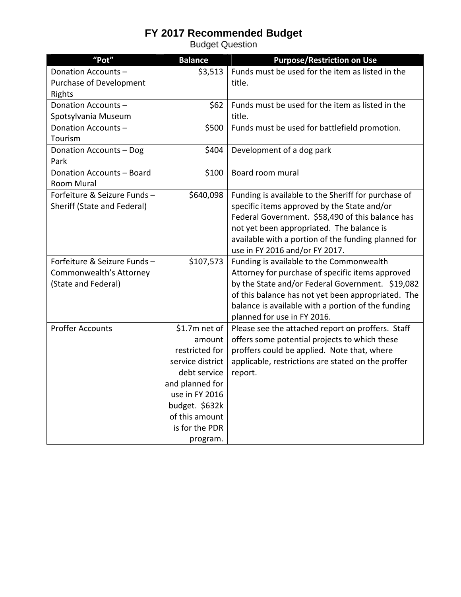| "Pot"                       | <b>Balance</b>   | <b>Purpose/Restriction on Use</b>                   |
|-----------------------------|------------------|-----------------------------------------------------|
| Donation Accounts-          | \$3,513          | Funds must be used for the item as listed in the    |
| Purchase of Development     |                  | title.                                              |
| Rights                      |                  |                                                     |
| Donation Accounts-          | \$62             | Funds must be used for the item as listed in the    |
| Spotsylvania Museum         |                  | title.                                              |
| Donation Accounts-          | \$500            | Funds must be used for battlefield promotion.       |
| Tourism                     |                  |                                                     |
| Donation Accounts - Dog     | \$404            | Development of a dog park                           |
| Park                        |                  |                                                     |
| Donation Accounts - Board   | \$100            | Board room mural                                    |
| <b>Room Mural</b>           |                  |                                                     |
| Forfeiture & Seizure Funds- | \$640,098        | Funding is available to the Sheriff for purchase of |
| Sheriff (State and Federal) |                  | specific items approved by the State and/or         |
|                             |                  | Federal Government. \$58,490 of this balance has    |
|                             |                  | not yet been appropriated. The balance is           |
|                             |                  | available with a portion of the funding planned for |
|                             |                  | use in FY 2016 and/or FY 2017.                      |
| Forfeiture & Seizure Funds- | \$107,573        | Funding is available to the Commonwealth            |
| Commonwealth's Attorney     |                  | Attorney for purchase of specific items approved    |
| (State and Federal)         |                  | by the State and/or Federal Government. \$19,082    |
|                             |                  | of this balance has not yet been appropriated. The  |
|                             |                  | balance is available with a portion of the funding  |
|                             |                  | planned for use in FY 2016.                         |
| <b>Proffer Accounts</b>     | \$1.7m net of    | Please see the attached report on proffers. Staff   |
|                             | amount           | offers some potential projects to which these       |
|                             | restricted for   | proffers could be applied. Note that, where         |
|                             | service district | applicable, restrictions are stated on the proffer  |
|                             | debt service     | report.                                             |
|                             | and planned for  |                                                     |
|                             | use in FY 2016   |                                                     |
|                             | budget. \$632k   |                                                     |
|                             | of this amount   |                                                     |
|                             | is for the PDR   |                                                     |
|                             | program.         |                                                     |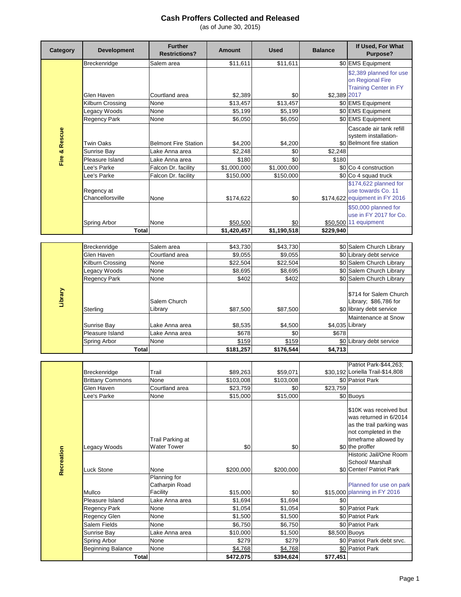| Category      | <b>Development</b>             | <b>Further</b><br><b>Restrictions?</b> | <b>Amount</b>           | <b>Used</b>        | <b>Balance</b> | If Used, For What<br>Purpose?                                                 |
|---------------|--------------------------------|----------------------------------------|-------------------------|--------------------|----------------|-------------------------------------------------------------------------------|
|               | Breckenridge                   | Salem area                             | \$11,611                | \$11,611           |                | \$0 EMS Equipment                                                             |
|               | Glen Haven                     | Courtland area                         | \$2.389                 | \$0                | \$2,389 2017   | \$2,389 planned for use<br>on Regional Fire<br><b>Training Center in FY</b>   |
|               | Kilburn Crossing               | None                                   | \$13,457                | \$13,457           |                | \$0 EMS Equipment                                                             |
|               | Legacy Woods                   | None                                   | \$5,199                 | \$5,199            |                | \$0 EMS Equipment                                                             |
|               | Regency Park                   | None                                   | \$6,050                 | \$6,050            |                | \$0 EMS Equipment                                                             |
| Fire & Rescue | <b>Twin Oaks</b>               | <b>Belmont Fire Station</b>            | \$4,200                 | \$4,200            |                | Cascade air tank refill<br>system installation-<br>\$0 Belmont fire station   |
|               | Sunrise Bay                    | Lake Anna area                         | \$2,248                 | \$0                | \$2,248        |                                                                               |
|               | Pleasure Island                | Lake Anna area                         | \$180                   | \$0                | \$180          |                                                                               |
|               | Lee's Parke                    | Falcon Dr. facility                    | \$1,000,000             | \$1,000,000        |                | \$0 Co 4 construction                                                         |
|               | Lee's Parke                    | Falcon Dr. facility                    | \$150,000               | \$150,000          |                | \$0 Co 4 squad truck                                                          |
|               | Regency at<br>Chancellorsville | None                                   | \$174,622               | \$0                |                | \$174,622 planned for<br>use towards Co. 11<br>\$174,622 equipment in FY 2016 |
|               | Spring Arbor<br><b>Total</b>   | None                                   | \$50,500<br>\$1,420,457 | \$0<br>\$1,190,518 | \$229,940      | \$50,000 planned for<br>use in FY 2017 for Co.<br>\$50,500 11 equipment       |
|               |                                |                                        |                         |                    |                |                                                                               |
|               | Breckenridge                   | Salem area                             | \$43,730                | \$43,730           |                | \$0 Salem Church Library                                                      |
|               | Glen Haven                     | Courtland area                         | \$9,055                 | \$9,055            |                | \$0 Library debt service                                                      |
|               | Kilburn Crossing               | None                                   | \$22,504                | \$22,504           |                | \$0 Salem Church Library                                                      |
|               | Legacy Woods                   | None                                   | \$8,695                 | \$8,695            |                | \$0 Salem Church Library                                                      |
|               | Regency Park                   | None                                   | \$402                   | \$402              |                | \$0 Salem Church Library                                                      |
| Library       | Sterling                       | Salem Church<br>Library                | \$87,500                | \$87,500           |                | \$714 for Salem Church<br>Library; \$86,786 for<br>\$0 library debt service   |
|               |                                |                                        |                         |                    |                | Maintenance at Snow                                                           |
|               | Sunrise Bay                    | Lake Anna area                         | \$8,535                 | \$4,500            |                | \$4,035 Library                                                               |
|               | Pleasure Island                | Lake Anna area                         | \$678                   | \$0                | \$678          |                                                                               |
|               | Spring Arbor                   | None                                   | \$159                   | \$159              |                | \$0 Library debt service                                                      |
|               | <b>Total</b>                   |                                        | \$181,257               | \$176,544          | \$4,713        |                                                                               |
|               |                                |                                        |                         |                    |                |                                                                               |
|               |                                |                                        |                         |                    |                | Patriot Park-\$44,263;                                                        |

|            |                          |                                            |           |           |               | Patriot Park-\$44,263;                                                                                                                                                                        |
|------------|--------------------------|--------------------------------------------|-----------|-----------|---------------|-----------------------------------------------------------------------------------------------------------------------------------------------------------------------------------------------|
|            | Breckenridge             | Trail                                      | \$89,263  | \$59,071  |               | \$30,192 Loriella Trail-\$14,808                                                                                                                                                              |
|            | <b>Brittany Commons</b>  | None                                       | \$103,008 | \$103,008 |               | \$0 Patriot Park                                                                                                                                                                              |
|            | Glen Haven               | Courtland area                             | \$23,759  | \$0       | \$23,759      |                                                                                                                                                                                               |
|            | Lee's Parke              | None                                       | \$15,000  | \$15,000  |               | \$0 Buoys                                                                                                                                                                                     |
| Recreation | Legacy Woods             | Trail Parking at<br><b>Water Tower</b>     | \$0       | \$0       |               | \$10K was received but<br>was returned in 6/2014<br>as the trail parking was<br>not completed in the<br>timeframe allowed by<br>\$0 the proffer<br>Historic Jail/One Room<br>School/ Marshall |
|            | Luck Stone               | None                                       | \$200,000 | \$200,000 |               | \$0 Center/ Patriot Park                                                                                                                                                                      |
|            | Mullco                   | Planning for<br>Catharpin Road<br>Facility | \$15,000  | \$0       |               | Planned for use on park<br>\$15,000 planning in FY 2016                                                                                                                                       |
|            | Pleasure Island          | Lake Anna area                             | \$1,694   | \$1,694   | \$0           |                                                                                                                                                                                               |
|            | <b>Regency Park</b>      | None                                       | \$1,054   | \$1,054   |               | \$0 Patriot Park                                                                                                                                                                              |
|            | Regency Glen             | None                                       | \$1,500   | \$1,500   |               | \$0 Patriot Park                                                                                                                                                                              |
|            | Salem Fields             | None                                       | \$6,750   | \$6,750   |               | \$0 Patriot Park                                                                                                                                                                              |
|            | Sunrise Bay              | Lake Anna area                             | \$10,000  | \$1,500   | \$8,500 Buoys |                                                                                                                                                                                               |
|            | Spring Arbor             | None                                       | \$279     | \$279     |               | \$0 Patriot Park debt srvc.                                                                                                                                                                   |
|            | <b>Beginning Balance</b> | None                                       | \$4,768   | \$4,768   |               | \$0 Patriot Park                                                                                                                                                                              |
|            | Total                    |                                            | \$472,075 | \$394,624 | \$77,451      |                                                                                                                                                                                               |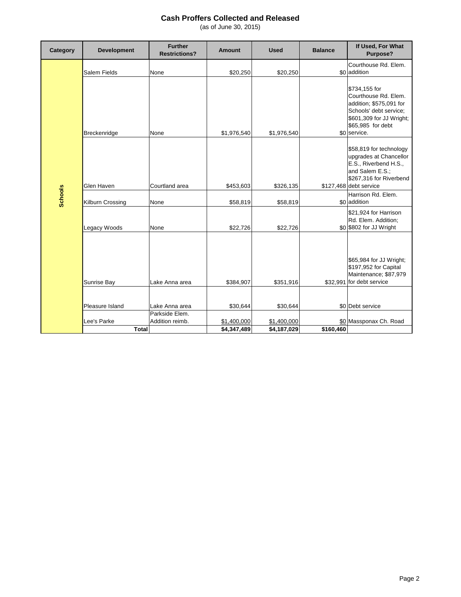| Category       | <b>Development</b>          | <b>Further</b><br><b>Restrictions?</b> | <b>Amount</b>              | <b>Used</b>                | <b>Balance</b> | If Used, For What<br>Purpose?                                                                                                                               |
|----------------|-----------------------------|----------------------------------------|----------------------------|----------------------------|----------------|-------------------------------------------------------------------------------------------------------------------------------------------------------------|
|                | Salem Fields                | None                                   | \$20,250                   | \$20,250                   |                | Courthouse Rd. Elem.<br>\$0 addition                                                                                                                        |
|                | Breckenridge                | None                                   | \$1,976,540                | \$1,976,540                |                | \$734,155 for<br>Courthouse Rd. Elem.<br>addition; \$575,091 for<br>Schools' debt service;<br>\$601,309 for JJ Wright;<br>\$65,985 for debt<br>\$0 service. |
|                | Glen Haven                  | Courtland area                         | \$453,603                  | \$326,135                  |                | \$58,819 for technology<br>upgrades at Chancellor<br>E.S., Riverbend H.S.,<br>and Salem E.S.;<br>\$267,316 for Riverbend<br>\$127,468 debt service          |
| <b>Schools</b> | Kilburn Crossing            | None                                   | \$58,819                   | \$58,819                   |                | Harrison Rd. Elem.<br>\$0 addition                                                                                                                          |
|                | Legacy Woods                | None                                   | \$22,726                   | \$22.726                   |                | \$21,924 for Harrison<br>Rd. Elem. Addition;<br>\$0 \$802 for JJ Wright                                                                                     |
|                | Sunrise Bay                 | Lake Anna area                         | \$384,907                  | \$351,916                  |                | \$65,984 for JJ Wright;<br>\$197,952 for Capital<br>Maintenance; \$87,979<br>\$32,991 for debt service                                                      |
|                |                             |                                        |                            |                            |                |                                                                                                                                                             |
|                | Pleasure Island             | Lake Anna area<br>Parkside Elem.       | \$30,644                   | \$30,644                   |                | \$0 Debt service                                                                                                                                            |
|                | Lee's Parke<br><b>Total</b> | Addition reimb.                        | \$1,400,000<br>\$4,347,489 | \$1,400,000<br>\$4,187,029 | \$160,460      | \$0 Massponax Ch. Road                                                                                                                                      |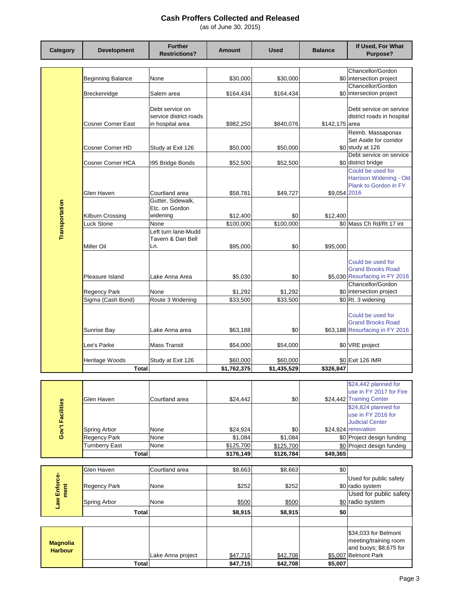| Category                          | <b>Development</b>           | <b>Further</b><br><b>Restrictions?</b>                        | Amount               | <b>Used</b>          | <b>Balance</b> | If Used, For What<br>Purpose?                                                              |
|-----------------------------------|------------------------------|---------------------------------------------------------------|----------------------|----------------------|----------------|--------------------------------------------------------------------------------------------|
|                                   |                              |                                                               |                      |                      |                | Chancellor/Gordon                                                                          |
|                                   | <b>Beginning Balance</b>     | None                                                          | \$30,000             | \$30,000             |                | \$0 intersection project<br>Chancellor/Gordon                                              |
|                                   | Breckenridge                 | Salem area                                                    | \$164,434            | \$164,434            |                | \$0 intersection project                                                                   |
|                                   | Cosner Corner East           | Debt service on<br>service district roads<br>in hospital area | \$982,250            | \$840,076            | \$142,175 area | Debt service on service<br>district roads in hospital                                      |
|                                   | Cosner Corner HD             | Study at Exit 126                                             | \$50,000             | \$50,000             |                | Reimb. Massaponax<br>Set Aside for corridor<br>\$0 study at 126<br>Debt service on service |
|                                   | Cosner Corner HCA            | 195 Bridge Bonds                                              | \$52,500             | \$52,500             |                | \$0 district bridge                                                                        |
|                                   | Glen Haven                   | Courtland area                                                | \$58,781             | \$49,727             | \$9,054 2016   | Could be used for<br>Harrison Widening - Old<br>Plank to Gordon in FY                      |
| Transportation                    | Kilburn Crossing             | Gutter, Sidewalk,<br>Etc. on Gordon<br>widening               | \$12,400             | \$0                  | \$12,400       |                                                                                            |
|                                   | Luck Stone                   | None                                                          | \$100,000            | \$100,000            |                | \$0 Mass Ch Rd/Rt 17 int                                                                   |
|                                   | Miller Oil                   | Left turn lane-Mudd<br>Tavern & Dan Bell<br>Ln.               | \$95,000             | \$0                  | \$95.000       |                                                                                            |
|                                   |                              |                                                               |                      |                      |                | Could be used for<br><b>Grand Brooks Road</b>                                              |
|                                   | Pleasure Island              | Lake Anna Area                                                | \$5,030              | \$0                  |                | \$5,030 Resurfacing in FY 2016                                                             |
|                                   | Regency Park                 | None                                                          | \$1,292              | \$1,292              |                | Chancellor/Gordon<br>\$0 intersection project                                              |
|                                   | Sigma (Cash Bond)            | Route 3 Widening                                              | \$33,500             | \$33,500             |                | \$0 Rt. 3 widening                                                                         |
|                                   |                              |                                                               |                      |                      |                | Could be used for<br><b>Grand Brooks Road</b>                                              |
|                                   | Sunrise Bay                  | Lake Anna area                                                | \$63,188             | \$0                  |                | \$63,188 Resurfacing in FY 2016                                                            |
|                                   | Lee's Parke                  | Mass Transit                                                  | \$54,000             | \$54,000             |                | \$0 VRE project                                                                            |
|                                   | Heritage Woods               | Study at Exit 126                                             | \$60,000             | \$60,000             |                | \$0 Exit 126 IMR                                                                           |
|                                   | <b>Total</b>                 |                                                               | \$1,762,375          | \$1,435,529          | \$326.847      |                                                                                            |
|                                   |                              |                                                               |                      |                      |                | \$24,442 planned for                                                                       |
|                                   | Glen Haven                   | Courtland area                                                | \$24,442             | \$0                  |                | use in FY 2017 for Fire<br>\$24,442 Training Center<br>\$24,824 planned for                |
| Gov't Facilities                  |                              |                                                               |                      |                      |                | use in FY 2016 for<br><b>Judicial Center</b>                                               |
|                                   | Spring Arbor<br>Regency Park | None<br>None                                                  | \$24,924<br>\$1,084  | \$0<br>\$1,084       |                | \$24,924 renovation<br>\$0 Project design funding                                          |
|                                   | <b>Turnberry East</b>        | None                                                          | \$125,700            | \$125,700            |                | \$0 Project design funding                                                                 |
|                                   | <b>Total</b>                 |                                                               | \$176,149            | \$126,784            | \$49,365       |                                                                                            |
|                                   | Glen Haven                   | Courtland area                                                | \$8,663              | \$8,663              | \$0            |                                                                                            |
|                                   |                              |                                                               |                      |                      |                | Used for public safety                                                                     |
| Law Enforce-<br>ment              | Regency Park                 | None                                                          | \$252                | \$252                |                | \$0 radio system<br>Used for public safety                                                 |
|                                   | Spring Arbor                 | None                                                          | \$500                | \$500                |                | \$0 radio system                                                                           |
|                                   | <b>Total</b>                 |                                                               | \$8,915              | \$8,915              | \$0            |                                                                                            |
|                                   |                              |                                                               |                      |                      |                |                                                                                            |
| <b>Magnolia</b><br><b>Harbour</b> |                              |                                                               |                      |                      |                | \$34,033 for Belmont<br>meeting/training room<br>and buoys; \$8,675 for                    |
|                                   | <b>Total</b>                 | Lake Anna project                                             | \$47,715<br>\$47,715 | \$42,708<br>\$42,708 | \$5,007        | \$5,007 Belmont Park                                                                       |
|                                   |                              |                                                               |                      |                      |                |                                                                                            |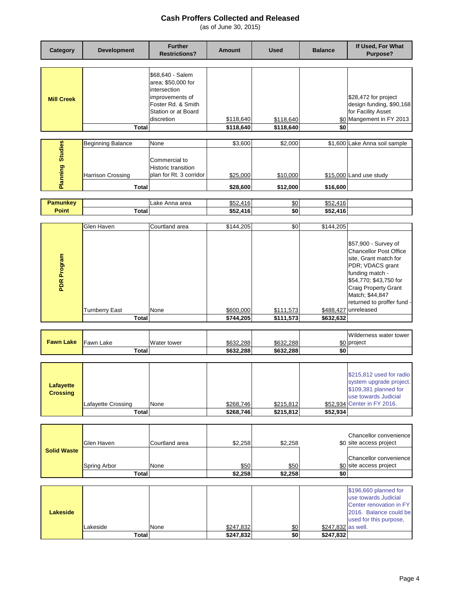| Category                            | <b>Development</b>                                            | <b>Further</b><br><b>Restrictions?</b>                                                                                               | Amount                          | <b>Used</b>                     | <b>Balance</b>         | If Used, For What<br>Purpose?                                                                                                                                                                                                          |
|-------------------------------------|---------------------------------------------------------------|--------------------------------------------------------------------------------------------------------------------------------------|---------------------------------|---------------------------------|------------------------|----------------------------------------------------------------------------------------------------------------------------------------------------------------------------------------------------------------------------------------|
| <b>Mill Creek</b>                   | Total                                                         | \$68,640 - Salem<br>area; \$50,000 for<br>intersection<br>improvements of<br>Foster Rd. & Smith<br>Station or at Board<br>discretion | \$118,640<br>\$118,640          | \$118,640<br>\$118,640          | \$0<br>\$0             | \$28,472 for project<br>design funding, \$90,168<br>for Facility Asset<br>Mangement in FY 2013                                                                                                                                         |
|                                     |                                                               |                                                                                                                                      |                                 |                                 |                        |                                                                                                                                                                                                                                        |
| <b>Planning Studies</b>             | <b>Beginning Balance</b><br>Harrison Crossing<br><b>Total</b> | None<br>Commercial to<br><b>Historic transition</b><br>plan for Rt. 3 corridor                                                       | \$3,600<br>\$25,000<br>\$28,600 | \$2,000<br>\$10,000<br>\$12,000 | \$16,600               | \$1,600 Lake Anna soil sample<br>\$15,000 Land use study                                                                                                                                                                               |
|                                     |                                                               |                                                                                                                                      |                                 |                                 |                        |                                                                                                                                                                                                                                        |
| <b>Pamunkey</b><br><b>Point</b>     | <b>Total</b>                                                  | Lake Anna area                                                                                                                       | \$52,416<br>\$52,416            | \$0<br>\$0                      | \$52,416<br>\$52,416   |                                                                                                                                                                                                                                        |
|                                     |                                                               |                                                                                                                                      |                                 |                                 |                        |                                                                                                                                                                                                                                        |
| PDR Program                         | Glen Haven<br><b>Turnberry East</b>                           | Courtland area<br>None                                                                                                               | \$144,205<br>\$600,000          | \$0<br>\$111,573                | \$144,205<br>\$488,427 | \$57,900 - Survey of<br><b>Chancellor Post Office</b><br>site, Grant match for<br>PDR; VDACS grant<br>funding match -<br>\$54,770; \$43,750 for<br>Craig Property Grant<br>Match; \$44,847<br>returned to proffer fund -<br>unreleased |
|                                     | <b>Total</b>                                                  |                                                                                                                                      | \$744,205                       | \$111,573                       | \$632,632              |                                                                                                                                                                                                                                        |
| <b>Fawn Lake</b>                    | Fawn Lake<br><b>Total</b>                                     | Water tower                                                                                                                          | \$632,288<br>\$632,288          | <u>\$632,288</u><br>\$632,288   | \$0                    | Wilderness water tower<br>\$0 project                                                                                                                                                                                                  |
|                                     |                                                               |                                                                                                                                      |                                 |                                 |                        |                                                                                                                                                                                                                                        |
| <b>Lafayette</b><br><b>Crossing</b> | Lafayette Crossing<br><b>Total</b>                            | None                                                                                                                                 | \$268,746<br>\$268,746          | \$215,812<br>\$215,812          | \$52,934               | \$215,812 used for radio<br>system upgrade project.<br>\$109,381 planned for<br>use towards Judicial<br>\$52,934 Center in FY 2016.                                                                                                    |
|                                     |                                                               |                                                                                                                                      |                                 |                                 |                        |                                                                                                                                                                                                                                        |
| <b>Solid Waste</b>                  | Glen Haven<br>Spring Arbor<br><b>Total</b>                    | Courtland area<br>None                                                                                                               | \$2,258<br>\$50<br>\$2,258      | \$2,258<br>\$50<br>\$2,258      | \$0                    | Chancellor convenience<br>\$0 site access project<br>Chancellor convenience<br>\$0 site access project                                                                                                                                 |
|                                     |                                                               |                                                                                                                                      |                                 |                                 |                        |                                                                                                                                                                                                                                        |
| <b>Lakeside</b>                     | Lakeside                                                      | None                                                                                                                                 | \$247,832                       | \$0                             | \$247,832 as well.     | \$196,660 planned for<br>use towards Judicial<br>Center renovation in FY<br>2016. Balance could be<br>used for this purpose,                                                                                                           |
|                                     | <b>Total</b>                                                  |                                                                                                                                      | \$247,832                       | \$0                             | \$247,832              |                                                                                                                                                                                                                                        |